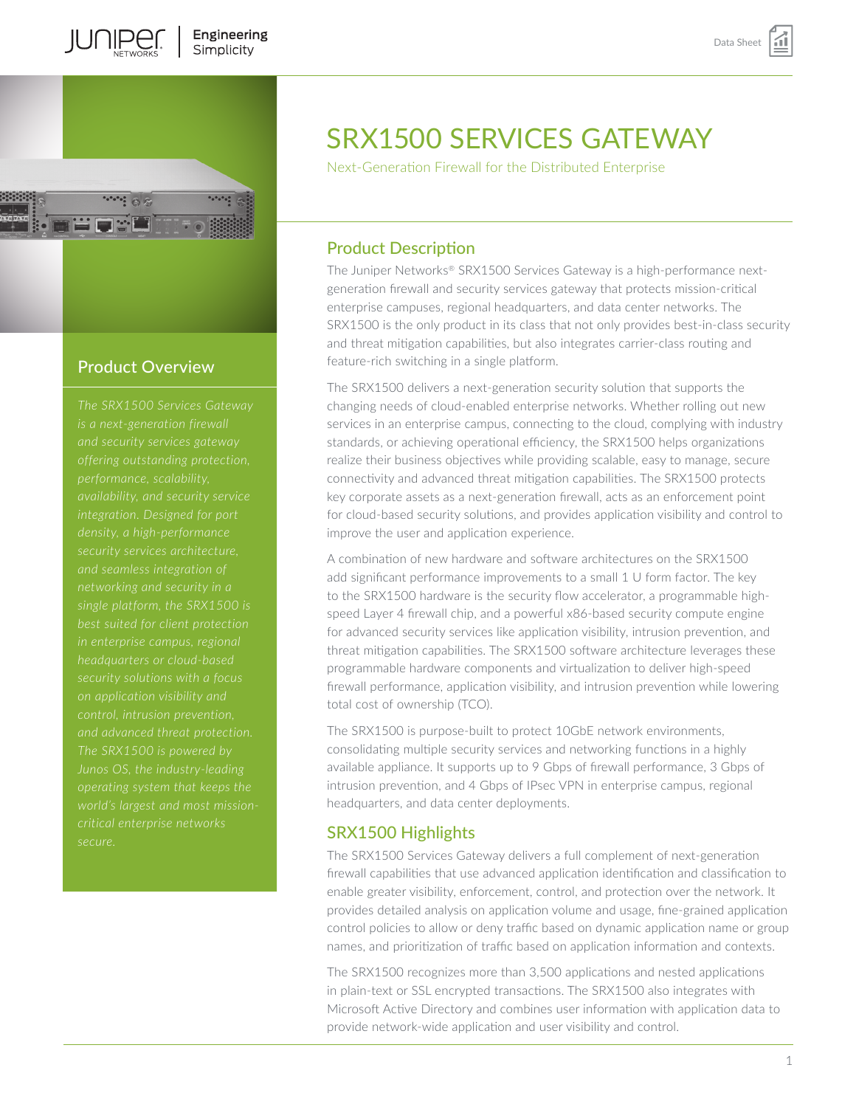

# Product Overview

*in enterprise campus, regional and advanced threat protection. The SRX1500 is powered by secure.* 

# SRX1500 SERVICES GATEWAY

Next-Generation Firewall for the Distributed Enterprise

# Product Description

The Juniper Networks® SRX1500 Services Gateway is a high-performance nextgeneration firewall and security services gateway that protects mission-critical enterprise campuses, regional headquarters, and data center networks. The SRX1500 is the only product in its class that not only provides best-in-class security and threat mitigation capabilities, but also integrates carrier-class routing and feature-rich switching in a single platform.

The SRX1500 delivers a next-generation security solution that supports the changing needs of cloud-enabled enterprise networks. Whether rolling out new services in an enterprise campus, connecting to the cloud, complying with industry standards, or achieving operational efficiency, the SRX1500 helps organizations realize their business objectives while providing scalable, easy to manage, secure connectivity and advanced threat mitigation capabilities. The SRX1500 protects key corporate assets as a next-generation firewall, acts as an enforcement point for cloud-based security solutions, and provides application visibility and control to improve the user and application experience.

A combination of new hardware and software architectures on the SRX1500 add significant performance improvements to a small 1 U form factor. The key to the SRX1500 hardware is the security flow accelerator, a programmable highspeed Layer 4 firewall chip, and a powerful x86-based security compute engine for advanced security services like application visibility, intrusion prevention, and threat mitigation capabilities. The SRX1500 software architecture leverages these programmable hardware components and virtualization to deliver high-speed firewall performance, application visibility, and intrusion prevention while lowering total cost of ownership (TCO).

The SRX1500 is purpose-built to protect 10GbE network environments, consolidating multiple security services and networking functions in a highly available appliance. It supports up to 9 Gbps of firewall performance, 3 Gbps of intrusion prevention, and 4 Gbps of IPsec VPN in enterprise campus, regional headquarters, and data center deployments.

# SRX1500 Highlights

The SRX1500 Services Gateway delivers a full complement of next-generation firewall capabilities that use advanced application identification and classification to enable greater visibility, enforcement, control, and protection over the network. It provides detailed analysis on application volume and usage, fine-grained application control policies to allow or deny traffic based on dynamic application name or group names, and prioritization of traffic based on application information and contexts.

The SRX1500 recognizes more than 3,500 applications and nested applications in plain-text or SSL encrypted transactions. The SRX1500 also integrates with Microsoft Active Directory and combines user information with application data to provide network-wide application and user visibility and control.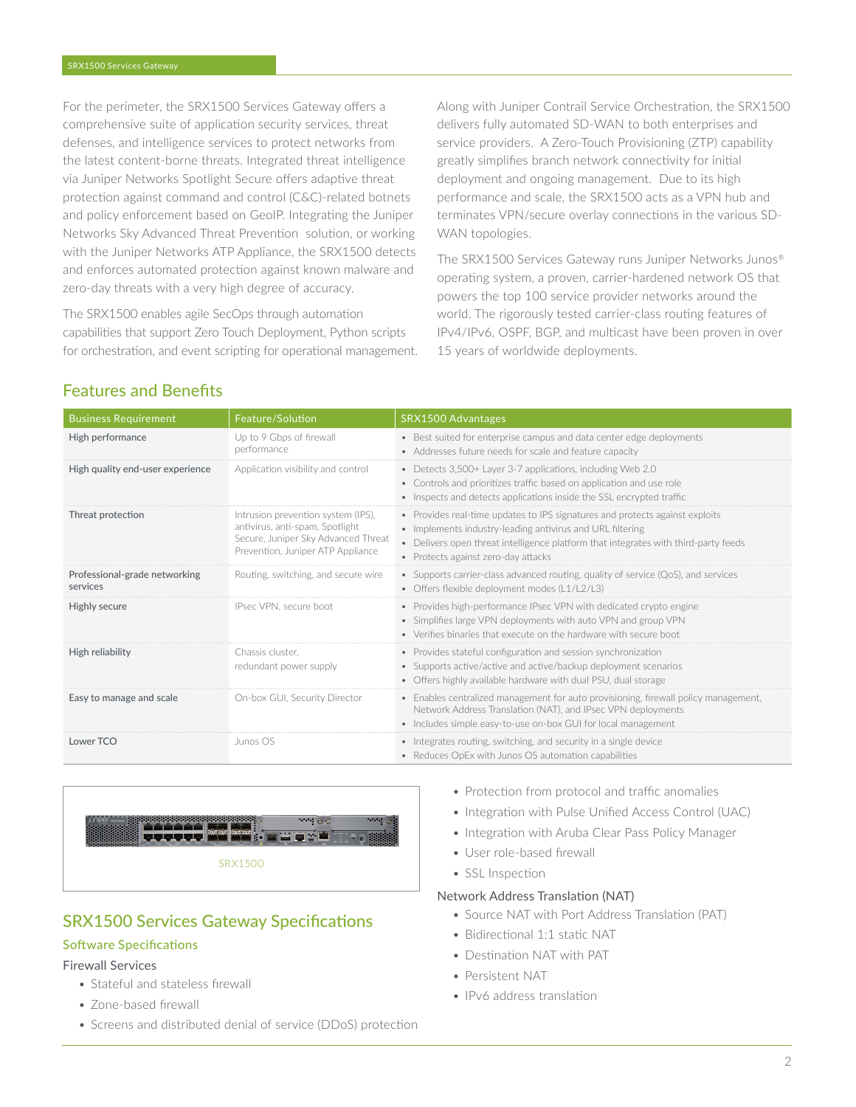For the perimeter, the SRX1500 Services Gateway offers a comprehensive suite of application security services, threat defenses, and intelligence services to protect networks from the latest content-borne threats. Integrated threat intelligence via Juniper Networks Spotlight Secure offers adaptive threat protection against command and control (C&C)-related botnets and policy enforcement based on GeoIP. Integrating the Juniper Networks Sky Advanced Threat Prevention solution, or working with the Juniper Networks ATP Appliance, the SRX1500 detects and enforces automated protection against known malware and zero-day threats with a very high degree of accuracy.

The SRX1500 enables agile SecOps through automation capabilities that support Zero Touch Deployment, Python scripts for orchestration, and event scripting for operational management. Along with Juniper Contrail Service Orchestration, the SRX1500 delivers fully automated SD-WAN to both enterprises and service providers. A Zero-Touch Provisioning (ZTP) capability greatly simplifies branch network connectivity for initial deployment and ongoing management. Due to its high performance and scale, the SRX1500 acts as a VPN hub and terminates VPN/secure overlay connections in the various SD-WAN topologies.

The SRX1500 Services Gateway runs Juniper Networks Junos® operating system, a proven, carrier-hardened network OS that powers the top 100 service provider networks around the world. The rigorously tested carrier-class routing features of IPv4/IPv6, OSPF, BGP, and multicast have been proven in over 15 years of worldwide deployments.

# Features and Benefits

| <b>Business Requirement</b>               | Feature/Solution                                                                                                                                  | SRX1500 Advantages                                                                                                                                                                                                                                                      |
|-------------------------------------------|---------------------------------------------------------------------------------------------------------------------------------------------------|-------------------------------------------------------------------------------------------------------------------------------------------------------------------------------------------------------------------------------------------------------------------------|
| High performance                          | Up to 9 Gbps of firewall<br>performance                                                                                                           | • Best suited for enterprise campus and data center edge deployments<br>• Addresses future needs for scale and feature capacity                                                                                                                                         |
| High quality end-user experience          | Application visibility and control                                                                                                                | • Detects 3,500+ Layer 3-7 applications, including Web 2.0<br>• Controls and prioritizes traffic based on application and use role<br>• Inspects and detects applications inside the SSL encrypted traffic                                                              |
| Threat protection                         | Intrusion prevention system (IPS).<br>antivirus, anti-spam, Spotlight<br>Secure, Juniper Sky Advanced Threat<br>Prevention, Juniper ATP Appliance | • Provides real-time updates to IPS signatures and protects against exploits<br>• Implements industry-leading antivirus and URL filtering<br>• Delivers open threat intelligence platform that integrates with third-party feeds<br>• Protects against zero-day attacks |
| Professional-grade networking<br>services | Routing, switching, and secure wire                                                                                                               | • Supports carrier-class advanced routing, quality of service $(QoS)$ , and services<br>• Offers flexible deployment modes (L1/L2/L3)                                                                                                                                   |
| Highly secure                             | IPsec VPN, secure boot                                                                                                                            | • Provides high-performance IPsec VPN with dedicated crypto engine<br>• Simplifies large VPN deployments with auto VPN and group VPN<br>• Verifies binaries that execute on the hardware with secure boot                                                               |
| High reliability                          | Chassis cluster.<br>redundant power supply                                                                                                        | • Provides stateful configuration and session synchronization<br>• Supports active/active and active/backup deployment scenarios<br>• Offers highly available hardware with dual PSU, dual storage                                                                      |
| Easy to manage and scale                  | On-box GUI, Security Director                                                                                                                     | • Enables centralized management for auto provisioning, firewall policy management,<br>Network Address Translation (NAT), and IPsec VPN deployments<br>• Includes simple easy-to-use on-box GUI for local management                                                    |
| Lower TCO                                 | Junos OS                                                                                                                                          | • Integrates routing, switching, and security in a single device<br>• Reduces OpEx with Junos OS automation capabilities                                                                                                                                                |



# SRX1500 Services Gateway Specifications

### Software Specifications

#### Firewall Services

- Stateful and stateless firewall
- Zone-based firewall
- Screens and distributed denial of service (DDoS) protection
- Protection from protocol and traffic anomalies
- Integration with Pulse Unified Access Control (UAC)
- Integration with Aruba Clear Pass Policy Manager
- User role-based firewall

• SSL Inspection

### Network Address Translation (NAT)

- Source NAT with Port Address Translation (PAT)
- Bidirectional 1:1 static NAT
- Destination NAT with PAT
- Persistent NAT
- IPv6 address translation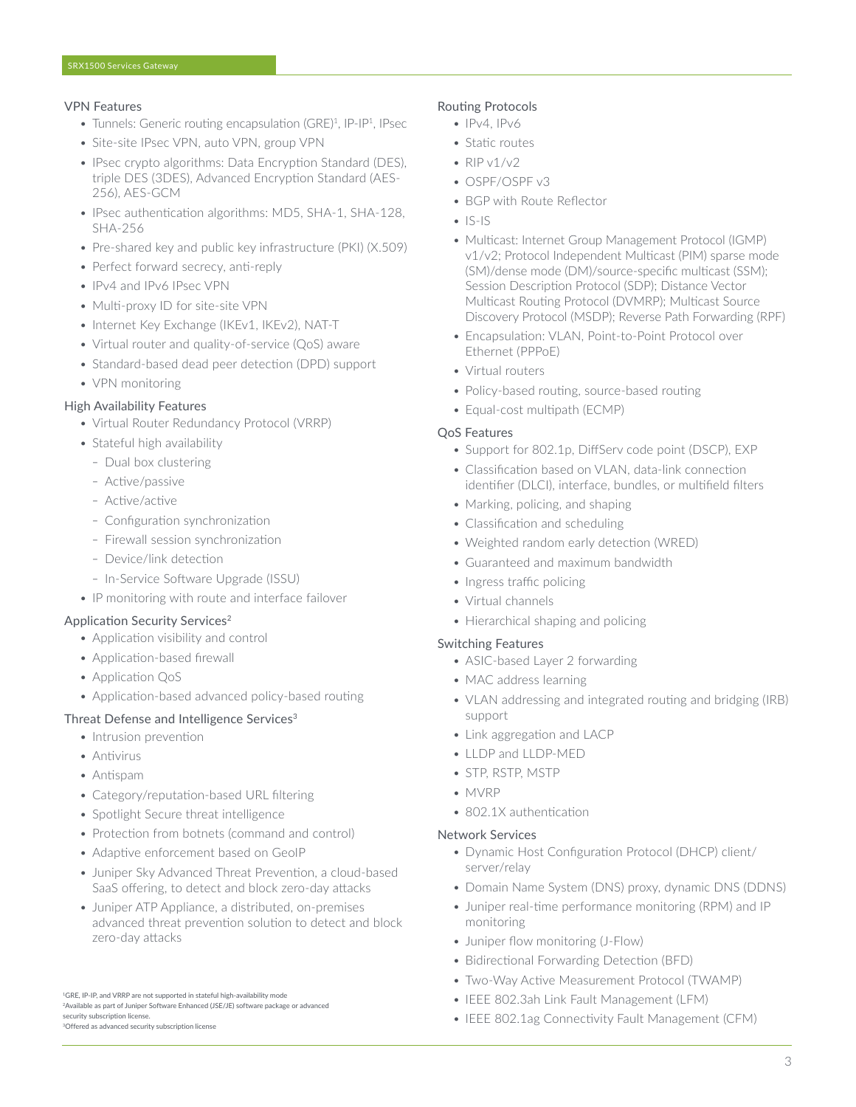#### VPN Features

- Tunnels: Generic routing encapsulation (GRE)<sup>1</sup>, IP-IP<sup>1</sup>, IPsec
- Site-site IPsec VPN, auto VPN, group VPN
- IPsec crypto algorithms: Data Encryption Standard (DES), triple DES (3DES), Advanced Encryption Standard (AES-256), AES-GCM
- IPsec authentication algorithms: MD5, SHA-1, SHA-128, SHA-256
- Pre-shared key and public key infrastructure (PKI) (X.509)
- Perfect forward secrecy, anti-reply
- IPv4 and IPv6 IPsec VPN
- Multi-proxy ID for site-site VPN
- Internet Key Exchange (IKEv1, IKEv2), NAT-T
- Virtual router and quality-of-service (QoS) aware
- Standard-based dead peer detection (DPD) support
- VPN monitoring

### High Availability Features

- Virtual Router Redundancy Protocol (VRRP)
- Stateful high availability
	- Dual box clustering
	- Active/passive
	- Active/active
	- Configuration synchronization
	- Firewall session synchronization
	- Device/link detection
	- In-Service Software Upgrade (ISSU)
- IP monitoring with route and interface failover

#### Application Security Services<sup>2</sup>

- Application visibility and control
- Application-based firewall
- Application QoS
- Application-based advanced policy-based routing

#### Threat Defense and Intelligence Services<sup>3</sup>

- Intrusion prevention
- Antivirus
- Antispam
- Category/reputation-based URL filtering
- Spotlight Secure threat intelligence
- Protection from botnets (command and control)
- Adaptive enforcement based on GeoIP
- Juniper Sky Advanced Threat Prevention, a cloud-based SaaS offering, to detect and block zero-day attacks
- Juniper ATP Appliance, a distributed, on-premises advanced threat prevention solution to detect and block zero-day attacks

#### Routing Protocols

- $\bullet$  IPv4, IPv6
- Static routes
- $RIPv1/v2$
- OSPF/OSPF v3
- BGP with Route Reflector
- $\cdot$  IS-IS
- Multicast: Internet Group Management Protocol (IGMP) v1/v2; Protocol Independent Multicast (PIM) sparse mode (SM)/dense mode (DM)/source-specific multicast (SSM); Session Description Protocol (SDP); Distance Vector Multicast Routing Protocol (DVMRP); Multicast Source Discovery Protocol (MSDP); Reverse Path Forwarding (RPF)
- Encapsulation: VLAN, Point-to-Point Protocol over Ethernet (PPPoE)
- Virtual routers
- Policy-based routing, source-based routing
- Equal-cost multipath (ECMP)

#### QoS Features

- Support for 802.1p, DiffServ code point (DSCP), EXP
- Classification based on VLAN, data-link connection identifier (DLCI), interface, bundles, or multifield filters
- Marking, policing, and shaping
- Classification and scheduling
- Weighted random early detection (WRED)
- Guaranteed and maximum bandwidth
- Ingress traffic policing
- Virtual channels
- Hierarchical shaping and policing

#### Switching Features

- ASIC-based Layer 2 forwarding
- MAC address learning
- VLAN addressing and integrated routing and bridging (IRB) support
- Link aggregation and LACP
- LLDP and LLDP-MED
- STP, RSTP, MSTP
- MVRP
- 802.1X authentication

#### Network Services

- Dynamic Host Configuration Protocol (DHCP) client/ server/relay
- Domain Name System (DNS) proxy, dynamic DNS (DDNS)
- Juniper real-time performance monitoring (RPM) and IP monitoring
- Juniper flow monitoring (J-Flow)
- Bidirectional Forwarding Detection (BFD)
- Two-Way Active Measurement Protocol (TWAMP)
- IEEE 802.3ah Link Fault Management (LFM)
- IEEE 802.1ag Connectivity Fault Management (CFM)

<sup>1</sup>GRE, IP-IP, and VRRP are not supported in stateful high-availability mode <sup>2</sup> Available as part of Juniper Software Enhanced (JSE/JE) software package or advanced security subscription license. 3Offered as advanced security subscription license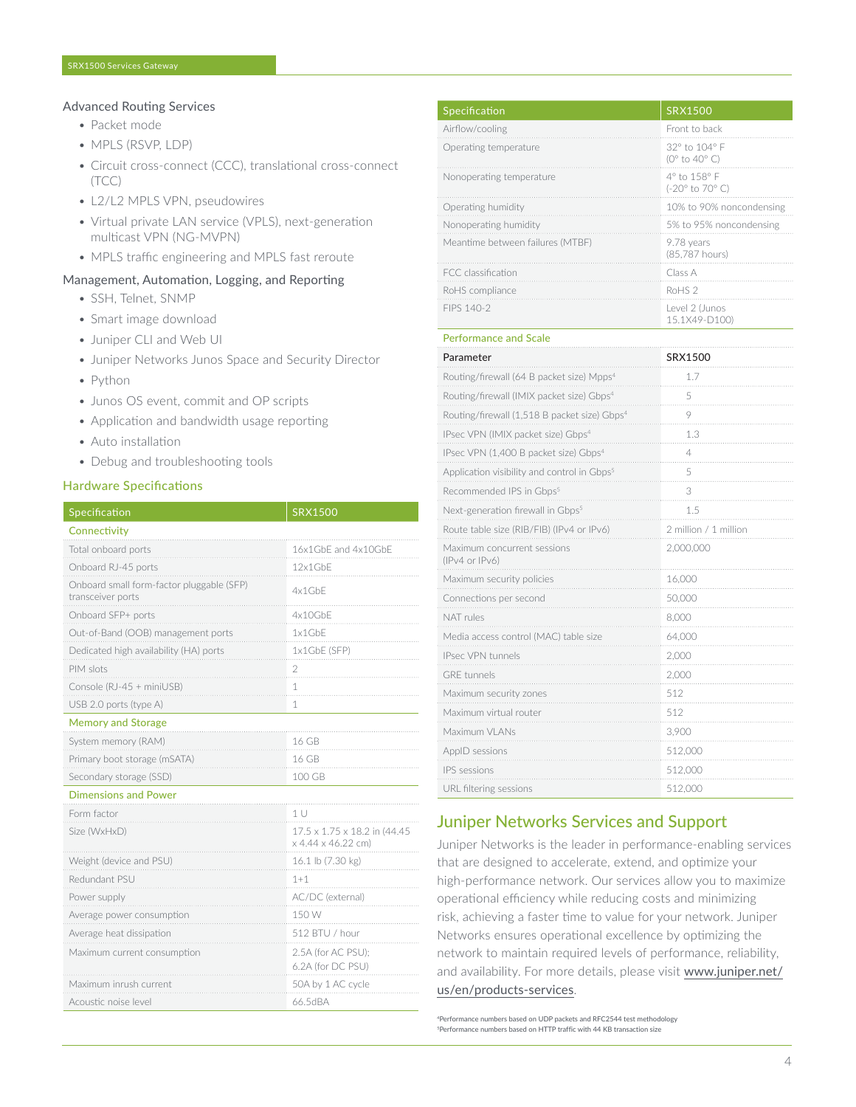#### Advanced Routing Services

- Packet mode
- MPLS (RSVP, LDP)
- Circuit cross-connect (CCC), translational cross-connect (TCC)
- L2/L2 MPLS VPN, pseudowires
- Virtual private LAN service (VPLS), next-generation multicast VPN (NG-MVPN)
- MPLS traffic engineering and MPLS fast reroute

#### Management, Automation, Logging, and Reporting

- SSH, Telnet, SNMP
- Smart image download
- Juniper CLI and Web UI
- Juniper Networks Junos Space and Security Director
- Python
- Junos OS event, commit and OP scripts
- Application and bandwidth usage reporting
- Auto installation
- Debug and troubleshooting tools

#### Hardware Specifications

| Specification                                                  | <b>SRX1500</b>                                      |
|----------------------------------------------------------------|-----------------------------------------------------|
| Connectivity                                                   |                                                     |
| Total onboard ports                                            | 16x1GbE and 4x10GbE                                 |
| Onboard RJ-45 ports                                            | 12x1GbF                                             |
| Onboard small form-factor pluggable (SFP)<br>transceiver ports | 4x1GbF                                              |
| Onboard SFP+ ports                                             | 4x10GbE                                             |
| Out-of-Band (OOB) management ports                             | 1x1GbE                                              |
| Dedicated high availability (HA) ports                         | 1x1GbE (SFP)                                        |
| PIM slots                                                      | 2                                                   |
| Console (RJ-45 + miniUSB)                                      | 1                                                   |
| USB 2.0 ports (type A)                                         | 1                                                   |
| <b>Memory and Storage</b>                                      |                                                     |
| System memory (RAM)                                            | 16 GB                                               |
| Primary boot storage (mSATA)                                   | 16 GB                                               |
| Secondary storage (SSD)                                        | 100 GB                                              |
| <b>Dimensions and Power</b>                                    |                                                     |
| Form factor                                                    | 1U                                                  |
| Size (WxHxD)                                                   | 17.5 x 1.75 x 18.2 in (44.45)<br>x 4.44 x 46.22 cm) |
| Weight (device and PSU)                                        | 16.1 lb (7.30 kg)                                   |
| Redundant PSU                                                  | $1 + 1$                                             |
| Power supply                                                   | AC/DC (external)                                    |
| Average power consumption                                      | 150 W                                               |
| Average heat dissipation                                       | 512 BTU / hour                                      |
| Maximum current consumption                                    | 2.5A (for AC PSU);<br>6.2A (for DC PSU)             |
| Maximum inrush current                                         | 50A by 1 AC cycle                                   |
| Acoustic noise level                                           | 66.5dBA                                             |

| Specification                                            | <b>SRX1500</b>                  |
|----------------------------------------------------------|---------------------------------|
| Airflow/cooling                                          | Front to back                   |
| Operating temperature                                    | 32° to 104° F<br>(0° to 40° C)  |
| Nonoperating temperature                                 | 4° to 158° F<br>(-20° to 70° C) |
| Operating humidity                                       | 10% to 90% noncondensing        |
| Nonoperating humidity                                    | 5% to 95% noncondensing         |
| Meantime between failures (MTBF)                         | 9.78 years<br>(85,787 hours)    |
| FCC classification                                       | Class A                         |
| RoHS compliance                                          | RoHS <sub>2</sub>               |
| FIPS 140-2                                               | Level 2 (Junos<br>15.1X49-D100) |
| <b>Performance and Scale</b>                             |                                 |
| Parameter                                                | SRX1500                         |
| Routing/firewall (64 B packet size) Mpps <sup>4</sup>    | 1.7                             |
| Routing/firewall (IMIX packet size) Gbps <sup>4</sup>    | 5                               |
| Routing/firewall (1,518 B packet size) Gbps <sup>4</sup> | 9                               |
| IPsec VPN (IMIX packet size) Gbps <sup>4</sup>           | 1.3                             |
| IPsec VPN (1,400 B packet size) Gbps <sup>4</sup>        | 4                               |
| Application visibility and control in Gbps <sup>5</sup>  | 5                               |
| Recommended IPS in Gbps <sup>5</sup>                     | 3                               |
| Next-generation firewall in Gbps <sup>5</sup>            | 1.5                             |
| Route table size (RIB/FIB) (IPv4 or IPv6)                | 2 million / 1 million           |
| Maximum concurrent sessions<br>(IPv4 or IPv6)            | 2,000,000                       |
| Maximum security policies                                | 16,000                          |
| Connections per second                                   | 50,000                          |
| NAT rules                                                | 8,000                           |
| Media access control (MAC) table size                    | 64,000                          |
| IPsec VPN tunnels                                        | 2,000                           |
| <b>GRE</b> tunnels                                       | 2,000                           |
| Maximum security zones                                   | 512                             |
| Maximum virtual router.                                  | 512                             |

| Maximum VI ANs         | 3.900   |
|------------------------|---------|
| AppID sessions         | 512,000 |
| IPS sessions           | 512.000 |
| URL filtering sessions | 512.000 |
|                        |         |

## Juniper Networks Services and Support

Juniper Networks is the leader in performance-enabling services that are designed to accelerate, extend, and optimize your high-performance network. Our services allow you to maximize operational efficiency while reducing costs and minimizing risk, achieving a faster time to value for your network. Juniper Networks ensures operational excellence by optimizing the network to maintain required levels of performance, reliability, and availability. For more details, please visit [www.juniper.net/](http://www.juniper.net/us/en/products-services) [us/en/products-services](http://www.juniper.net/us/en/products-services).

4Performance numbers based on UDP packets and RFC2544 test methodology 5Performance numbers based on HTTP traffic with 44 KB transaction size